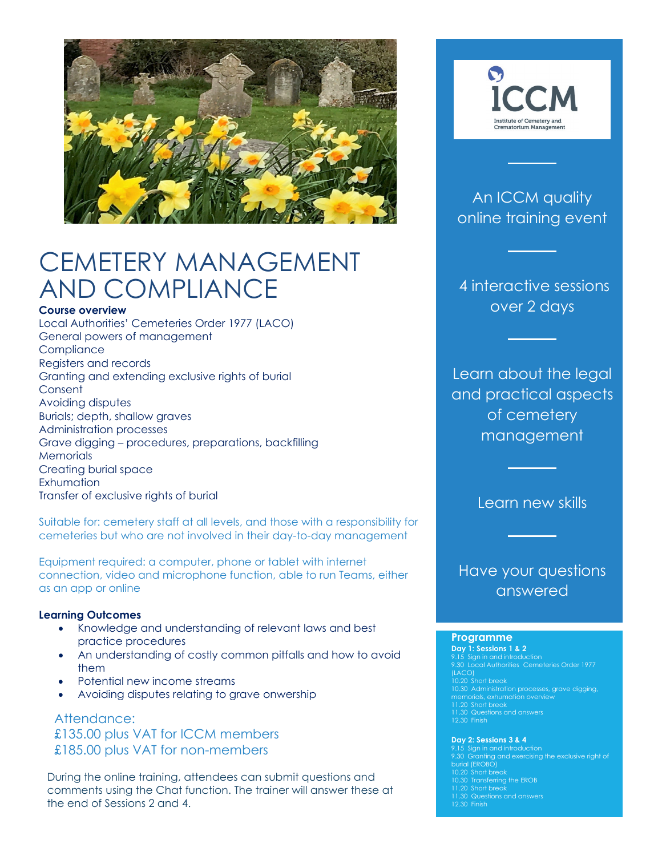

# CEMETERY MANAGEMENT AND COMPLIANCE

### **Course overview**

Local Authorities' Cemeteries Order 1977 (LACO) General powers of management **Compliance** Registers and records Granting and extending exclusive rights of burial **Consent** Avoiding disputes Burials; depth, shallow graves Administration processes Grave digging – procedures, preparations, backfilling **Memorials** Creating burial space **Exhumation** Transfer of exclusive rights of burial

Suitable for: cemetery staff at all levels, and those with a responsibility for cemeteries but who are not involved in their day-to-day management

Equipment required: a computer, phone or tablet with internet connection, video and microphone function, able to run Teams, either as an app or online

### **Learning Outcomes**

- Knowledge and understanding of relevant laws and best practice procedures
- An understanding of costly common pitfalls and how to avoid them
- Potential new income streams
- Avoiding disputes relating to grave onwership

Attendance: £135.00 plus VAT for ICCM members £185.00 plus VAT for non-members

During the online training, attendees can submit questions and comments using the Chat function. The trainer will answer these at the end of Sessions 2 and 4.



### An ICCM quality online training event

4 interactive sessions over 2 days

Learn about the legal and practical aspects of cemetery management

Learn new skills

### Have your questions answered

#### **Programme**

**Day 1: Sessions 1 & 2** 10.30 Administration processes, grave digging, memorials, exhumation overview 11.30 Questions and answers 12.30 Finish

#### **Day 2: Sessions 3 & 4**

9.30 Granting and exercising the exclusive right of burial (EROBO) 10.20 Short break 10.30 Transferring the EROB 11.20 Short break 12.30 Finish